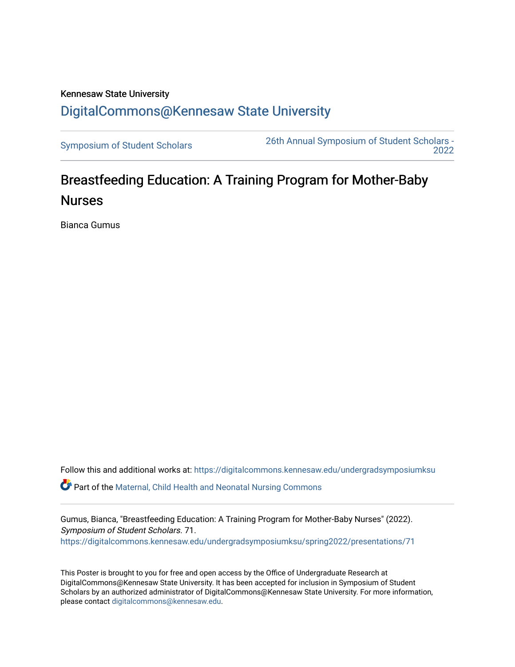## Kennesaw State University [DigitalCommons@Kennesaw State University](https://digitalcommons.kennesaw.edu/)

[Symposium of Student Scholars](https://digitalcommons.kennesaw.edu/undergradsymposiumksu) [26th Annual Symposium of Student Scholars -](https://digitalcommons.kennesaw.edu/undergradsymposiumksu/spring2022)  [2022](https://digitalcommons.kennesaw.edu/undergradsymposiumksu/spring2022) 

## Breastfeeding Education: A Training Program for Mother-Baby **Nurses**

Bianca Gumus

Follow this and additional works at: [https://digitalcommons.kennesaw.edu/undergradsymposiumksu](https://digitalcommons.kennesaw.edu/undergradsymposiumksu?utm_source=digitalcommons.kennesaw.edu%2Fundergradsymposiumksu%2Fspring2022%2Fpresentations%2F71&utm_medium=PDF&utm_campaign=PDFCoverPages) 

**C** Part of the Maternal, Child Health and Neonatal Nursing Commons

Gumus, Bianca, "Breastfeeding Education: A Training Program for Mother-Baby Nurses" (2022). Symposium of Student Scholars. 71. [https://digitalcommons.kennesaw.edu/undergradsymposiumksu/spring2022/presentations/71](https://digitalcommons.kennesaw.edu/undergradsymposiumksu/spring2022/presentations/71?utm_source=digitalcommons.kennesaw.edu%2Fundergradsymposiumksu%2Fspring2022%2Fpresentations%2F71&utm_medium=PDF&utm_campaign=PDFCoverPages) 

This Poster is brought to you for free and open access by the Office of Undergraduate Research at DigitalCommons@Kennesaw State University. It has been accepted for inclusion in Symposium of Student Scholars by an authorized administrator of DigitalCommons@Kennesaw State University. For more information, please contact [digitalcommons@kennesaw.edu.](mailto:digitalcommons@kennesaw.edu)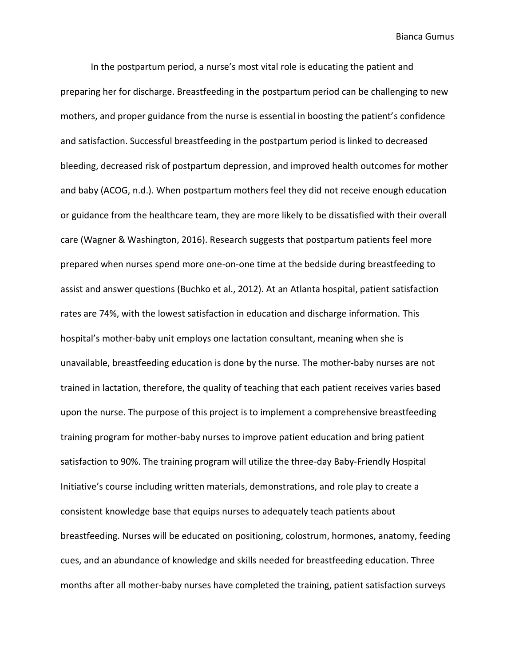Bianca Gumus

In the postpartum period, a nurse's most vital role is educating the patient and preparing her for discharge. Breastfeeding in the postpartum period can be challenging to new mothers, and proper guidance from the nurse is essential in boosting the patient's confidence and satisfaction. Successful breastfeeding in the postpartum period is linked to decreased bleeding, decreased risk of postpartum depression, and improved health outcomes for mother and baby (ACOG, n.d.). When postpartum mothers feel they did not receive enough education or guidance from the healthcare team, they are more likely to be dissatisfied with their overall care (Wagner & Washington, 2016). Research suggests that postpartum patients feel more prepared when nurses spend more one-on-one time at the bedside during breastfeeding to assist and answer questions (Buchko et al., 2012). At an Atlanta hospital, patient satisfaction rates are 74%, with the lowest satisfaction in education and discharge information. This hospital's mother-baby unit employs one lactation consultant, meaning when she is unavailable, breastfeeding education is done by the nurse. The mother-baby nurses are not trained in lactation, therefore, the quality of teaching that each patient receives varies based upon the nurse. The purpose of this project is to implement a comprehensive breastfeeding training program for mother-baby nurses to improve patient education and bring patient satisfaction to 90%. The training program will utilize the three-day Baby-Friendly Hospital Initiative's course including written materials, demonstrations, and role play to create a consistent knowledge base that equips nurses to adequately teach patients about breastfeeding. Nurses will be educated on positioning, colostrum, hormones, anatomy, feeding cues, and an abundance of knowledge and skills needed for breastfeeding education. Three months after all mother-baby nurses have completed the training, patient satisfaction surveys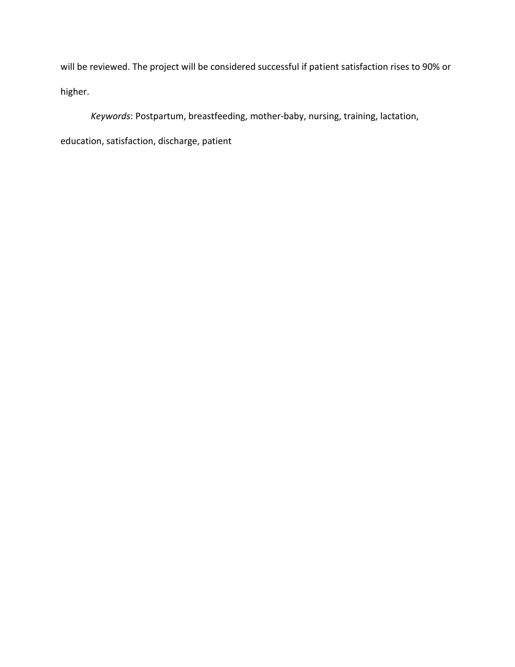will be reviewed. The project will be considered successful if patient satisfaction rises to 90% or higher.

*Keywords*: Postpartum, breastfeeding, mother-baby, nursing, training, lactation,

education, satisfaction, discharge, patient